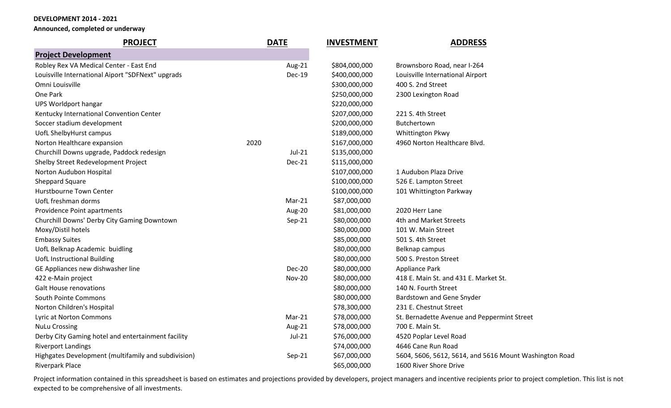**Announced, completed or underway**

| <b>PROJECT</b>                                      | <b>DATE</b>   | <b>INVESTMENT</b> | <b>ADDRESS</b>                                         |
|-----------------------------------------------------|---------------|-------------------|--------------------------------------------------------|
| <b>Project Development</b>                          |               |                   |                                                        |
| Robley Rex VA Medical Center - East End             | Aug-21        | \$804,000,000     | Brownsboro Road, near I-264                            |
| Louisville International Aiport "SDFNext" upgrads   | <b>Dec-19</b> | \$400,000,000     | Louisville International Airport                       |
| Omni Louisville                                     |               | \$300,000,000     | 400 S. 2nd Street                                      |
| One Park                                            |               | \$250,000,000     | 2300 Lexington Road                                    |
| <b>UPS Worldport hangar</b>                         |               | \$220,000,000     |                                                        |
| Kentucky International Convention Center            |               | \$207,000,000     | 221 S. 4th Street                                      |
| Soccer stadium development                          |               | \$200,000,000     | Butchertown                                            |
| UofL ShelbyHurst campus                             |               | \$189,000,000     | Whittington Pkwy                                       |
| Norton Healthcare expansion                         | 2020          | \$167,000,000     | 4960 Norton Healthcare Blvd.                           |
| Churchill Downs upgrade, Paddock redesign           | $Jul-21$      | \$135,000,000     |                                                        |
| Shelby Street Redevelopment Project                 | <b>Dec-21</b> | \$115,000,000     |                                                        |
| Norton Audubon Hospital                             |               | \$107,000,000     | 1 Audubon Plaza Drive                                  |
| Sheppard Square                                     |               | \$100,000,000     | 526 E. Lampton Street                                  |
| Hurstbourne Town Center                             |               | \$100,000,000     | 101 Whittington Parkway                                |
| UofL freshman dorms                                 | $Mar-21$      | \$87,000,000      |                                                        |
| Providence Point apartments                         | Aug-20        | \$81,000,000      | 2020 Herr Lane                                         |
| Churchill Downs' Derby City Gaming Downtown         | Sep-21        | \$80,000,000      | 4th and Market Streets                                 |
| Moxy/Distil hotels                                  |               | \$80,000,000      | 101 W. Main Street                                     |
| <b>Embassy Suites</b>                               |               | \$85,000,000      | 501 S. 4th Street                                      |
| UofL Belknap Academic buidling                      |               | \$80,000,000      | Belknap campus                                         |
| <b>UofL Instructional Building</b>                  |               | \$80,000,000      | 500 S. Preston Street                                  |
| GE Appliances new dishwasher line                   | <b>Dec-20</b> | \$80,000,000      | Appliance Park                                         |
| 422 e-Main project                                  | <b>Nov-20</b> | \$80,000,000      | 418 E. Main St. and 431 E. Market St.                  |
| <b>Galt House renovations</b>                       |               | \$80,000,000      | 140 N. Fourth Street                                   |
| South Pointe Commons                                |               | \$80,000,000      | Bardstown and Gene Snyder                              |
| Norton Children's Hospital                          |               | \$78,300,000      | 231 E. Chestnut Street                                 |
| Lyric at Norton Commons                             | Mar-21        | \$78,000,000      | St. Bernadette Avenue and Peppermint Street            |
| <b>NuLu Crossing</b>                                | Aug-21        | \$78,000,000      | 700 E. Main St.                                        |
| Derby City Gaming hotel and entertainment facility  | $Jul-21$      | \$76,000,000      | 4520 Poplar Level Road                                 |
| <b>Riverport Landings</b>                           |               | \$74,000,000      | 4646 Cane Run Road                                     |
| Highgates Development (multifamily and subdivision) | Sep-21        | \$67,000,000      | 5604, 5606, 5612, 5614, and 5616 Mount Washington Road |
| <b>Riverpark Place</b>                              |               | \$65,000,000      | 1600 River Shore Drive                                 |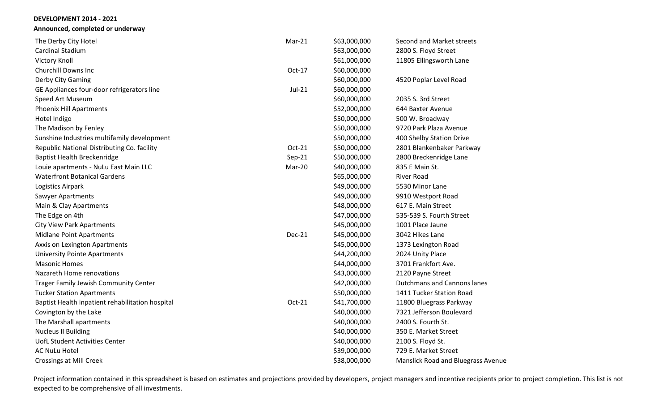**Announced, completed or underway**

| The Derby City Hotel                             | $Mar-21$      | \$63,000,000 | Second and Market streets                 |
|--------------------------------------------------|---------------|--------------|-------------------------------------------|
| Cardinal Stadium                                 |               | \$63,000,000 | 2800 S. Floyd Street                      |
| <b>Victory Knoll</b>                             |               | \$61,000,000 | 11805 Ellingsworth Lane                   |
| <b>Churchill Downs Inc</b>                       | Oct-17        | \$60,000,000 |                                           |
| Derby City Gaming                                |               | \$60,000,000 | 4520 Poplar Level Road                    |
| GE Appliances four-door refrigerators line       | Jul-21        | \$60,000,000 |                                           |
| Speed Art Museum                                 |               | \$60,000,000 | 2035 S. 3rd Street                        |
| <b>Phoenix Hill Apartments</b>                   |               | \$52,000,000 | 644 Baxter Avenue                         |
| Hotel Indigo                                     |               | \$50,000,000 | 500 W. Broadway                           |
| The Madison by Fenley                            |               | \$50,000,000 | 9720 Park Plaza Avenue                    |
| Sunshine Industries multifamily development      |               | \$50,000,000 | 400 Shelby Station Drive                  |
| Republic National Distributing Co. facility      | Oct-21        | \$50,000,000 | 2801 Blankenbaker Parkway                 |
| <b>Baptist Health Breckenridge</b>               | $Sep-21$      | \$50,000,000 | 2800 Breckenridge Lane                    |
| Louie apartments - NuLu East Main LLC            | Mar-20        | \$40,000,000 | 835 E Main St.                            |
| <b>Waterfront Botanical Gardens</b>              |               | \$65,000,000 | <b>River Road</b>                         |
| Logistics Airpark                                |               | \$49,000,000 | 5530 Minor Lane                           |
| Sawyer Apartments                                |               | \$49,000,000 | 9910 Westport Road                        |
| Main & Clay Apartments                           |               | \$48,000,000 | 617 E. Main Street                        |
| The Edge on 4th                                  |               | \$47,000,000 | 535-539 S. Fourth Street                  |
| <b>City View Park Apartments</b>                 |               | \$45,000,000 | 1001 Place Jaune                          |
| <b>Midlane Point Apartments</b>                  | <b>Dec-21</b> | \$45,000,000 | 3042 Hikes Lane                           |
| Axxis on Lexington Apartments                    |               | \$45,000,000 | 1373 Lexington Road                       |
| <b>University Pointe Apartments</b>              |               | \$44,200,000 | 2024 Unity Place                          |
| <b>Masonic Homes</b>                             |               | \$44,000,000 | 3701 Frankfort Ave.                       |
| Nazareth Home renovations                        |               | \$43,000,000 | 2120 Payne Street                         |
| <b>Trager Family Jewish Community Center</b>     |               | \$42,000,000 | <b>Dutchmans and Cannons lanes</b>        |
| <b>Tucker Station Apartments</b>                 |               | \$50,000,000 | 1411 Tucker Station Road                  |
| Baptist Health inpatient rehabilitation hospital | Oct-21        | \$41,700,000 | 11800 Bluegrass Parkway                   |
| Covington by the Lake                            |               | \$40,000,000 | 7321 Jefferson Boulevard                  |
| The Marshall apartments                          |               | \$40,000,000 | 2400 S. Fourth St.                        |
| <b>Nucleus II Building</b>                       |               | \$40,000,000 | 350 E. Market Street                      |
| UofL Student Activities Center                   |               | \$40,000,000 | 2100 S. Floyd St.                         |
| <b>AC NuLu Hotel</b>                             |               | \$39,000,000 | 729 E. Market Street                      |
| <b>Crossings at Mill Creek</b>                   |               | \$38,000,000 | <b>Manslick Road and Bluegrass Avenue</b> |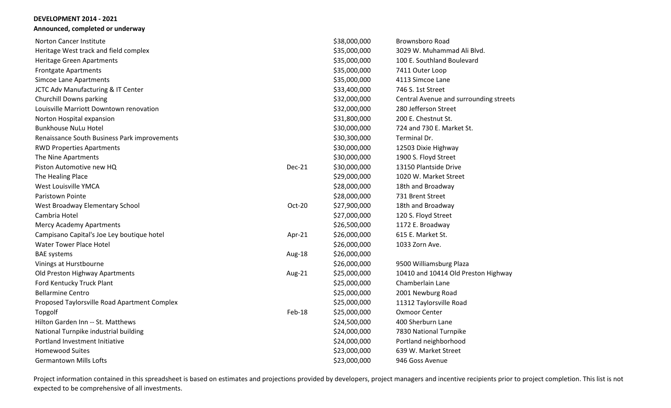#### **DEVELOPMENT 2014 - 2021 Announced, completed or underway**

| <b>Norton Cancer Institute</b>               |          | \$38,000,000 | <b>Brownsboro Road</b>                 |
|----------------------------------------------|----------|--------------|----------------------------------------|
| Heritage West track and field complex        |          | \$35,000,000 | 3029 W. Muhammad Ali Blvd.             |
| Heritage Green Apartments                    |          | \$35,000,000 | 100 E. Southland Boulevard             |
| <b>Frontgate Apartments</b>                  |          | \$35,000,000 | 7411 Outer Loop                        |
| Simcoe Lane Apartments                       |          | \$35,000,000 | 4113 Simcoe Lane                       |
| JCTC Adv Manufacturing & IT Center           |          | \$33,400,000 | 746 S. 1st Street                      |
| Churchill Downs parking                      |          | \$32,000,000 | Central Avenue and surrounding streets |
| Louisville Marriott Downtown renovation      |          | \$32,000,000 | 280 Jefferson Street                   |
| Norton Hospital expansion                    |          | \$31,800,000 | 200 E. Chestnut St.                    |
| <b>Bunkhouse NuLu Hotel</b>                  |          | \$30,000,000 | 724 and 730 E. Market St.              |
| Renaissance South Business Park improvements |          | \$30,300,000 | Terminal Dr.                           |
| <b>RWD Properties Apartments</b>             |          | \$30,000,000 | 12503 Dixie Highway                    |
| The Nine Apartments                          |          | \$30,000,000 | 1900 S. Floyd Street                   |
| Piston Automotive new HQ                     | $Dec-21$ | \$30,000,000 | 13150 Plantside Drive                  |
| The Healing Place                            |          | \$29,000,000 | 1020 W. Market Street                  |
| West Louisville YMCA                         |          | \$28,000,000 | 18th and Broadway                      |
| Paristown Pointe                             |          | \$28,000,000 | 731 Brent Street                       |
| West Broadway Elementary School              | Oct-20   | \$27,900,000 | 18th and Broadway                      |
| Cambria Hotel                                |          | \$27,000,000 | 120 S. Floyd Street                    |
| Mercy Academy Apartments                     |          | \$26,500,000 | 1172 E. Broadway                       |
| Campisano Capital's Joe Ley boutique hotel   | Apr-21   | \$26,000,000 | 615 E. Market St.                      |
| <b>Water Tower Place Hotel</b>               |          | \$26,000,000 | 1033 Zorn Ave.                         |
| <b>BAE</b> systems                           | Aug-18   | \$26,000,000 |                                        |
| Vinings at Hurstbourne                       |          | \$26,000,000 | 9500 Williamsburg Plaza                |
| Old Preston Highway Apartments               | Aug-21   | \$25,000,000 | 10410 and 10414 Old Preston Highway    |
| Ford Kentucky Truck Plant                    |          | \$25,000,000 | Chamberlain Lane                       |
| <b>Bellarmine Centro</b>                     |          | \$25,000,000 | 2001 Newburg Road                      |
| Proposed Taylorsville Road Apartment Complex |          | \$25,000,000 | 11312 Taylorsville Road                |
| Topgolf                                      | Feb-18   | \$25,000,000 | <b>Oxmoor Center</b>                   |
| Hilton Garden Inn -- St. Matthews            |          | \$24,500,000 | 400 Sherburn Lane                      |
| National Turnpike industrial building        |          | \$24,000,000 | 7830 National Turnpike                 |
| Portland Investment Initiative               |          | \$24,000,000 | Portland neighborhood                  |
| <b>Homewood Suites</b>                       |          | \$23,000,000 | 639 W. Market Street                   |
| <b>Germantown Mills Lofts</b>                |          | \$23,000,000 | 946 Goss Avenue                        |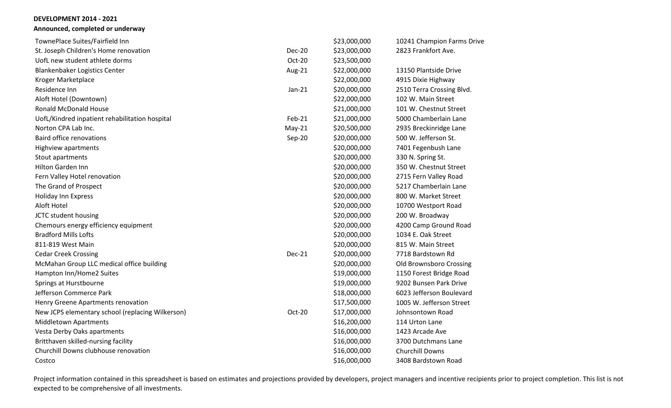**Announced, completed or underway**

| TownePlace Suites/Fairfield Inn                  |               | \$23,000,000 | 10241 Champion Farms Drive |
|--------------------------------------------------|---------------|--------------|----------------------------|
| St. Joseph Children's Home renovation            | <b>Dec-20</b> | \$23,000,000 | 2823 Frankfort Ave.        |
| UofL new student athlete dorms                   | Oct-20        | \$23,500,000 |                            |
| Blankenbaker Logistics Center                    | Aug-21        | \$22,000,000 | 13150 Plantside Drive      |
| Kroger Marketplace                               |               | \$22,000,000 | 4915 Dixie Highway         |
| Residence Inn                                    | $Jan-21$      | \$20,000,000 | 2510 Terra Crossing Blvd.  |
| Aloft Hotel (Downtown)                           |               | \$22,000,000 | 102 W. Main Street         |
| <b>Ronald McDonald House</b>                     |               | \$21,000,000 | 101 W. Chestnut Street     |
| UofL/Kindred inpatient rehabilitation hospital   | Feb-21        | \$21,000,000 | 5000 Chamberlain Lane      |
| Norton CPA Lab Inc.                              | $May-21$      | \$20,500,000 | 2935 Breckinridge Lane     |
| <b>Baird office renovations</b>                  | Sep-20        | \$20,000,000 | 500 W. Jefferson St.       |
| Highview apartments                              |               | \$20,000,000 | 7401 Fegenbush Lane        |
| Stout apartments                                 |               | \$20,000,000 | 330 N. Spring St.          |
| <b>Hilton Garden Inn</b>                         |               | \$20,000,000 | 350 W. Chestnut Street     |
| Fern Valley Hotel renovation                     |               | \$20,000,000 | 2715 Fern Valley Road      |
| The Grand of Prospect                            |               | \$20,000,000 | 5217 Chamberlain Lane      |
| <b>Holiday Inn Express</b>                       |               | \$20,000,000 | 800 W. Market Street       |
| Aloft Hotel                                      |               | \$20,000,000 | 10700 Westport Road        |
| JCTC student housing                             |               | \$20,000,000 | 200 W. Broadway            |
| Chemours energy efficiency equipment             |               | \$20,000,000 | 4200 Camp Ground Road      |
| <b>Bradford Mills Lofts</b>                      |               | \$20,000,000 | 1034 E. Oak Street         |
| 811-819 West Main                                |               | \$20,000,000 | 815 W. Main Street         |
| <b>Cedar Creek Crossing</b>                      | <b>Dec-21</b> | \$20,000,000 | 7718 Bardstown Rd          |
| McMahan Group LLC medical office building        |               | \$20,000,000 | Old Brownsboro Crossing    |
| Hampton Inn/Home2 Suites                         |               | \$19,000,000 | 1150 Forest Bridge Road    |
| Springs at Hurstbourne                           |               | \$19,000,000 | 9202 Bunsen Park Drive     |
| Jefferson Commerce Park                          |               | \$18,000,000 | 6023 Jefferson Boulevard   |
| Henry Greene Apartments renovation               |               | \$17,500,000 | 1005 W. Jefferson Street   |
| New JCPS elementary school (replacing Wilkerson) | Oct-20        | \$17,000,000 | Johnsontown Road           |
| <b>Middletown Apartments</b>                     |               | \$16,200,000 | 114 Urton Lane             |
| Vesta Derby Oaks apartments                      |               | \$16,000,000 | 1423 Arcade Ave            |
| Britthaven skilled-nursing facility              |               | \$16,000,000 | 3700 Dutchmans Lane        |
| Churchill Downs clubhouse renovation             |               | \$16,000,000 | <b>Churchill Downs</b>     |
| Costco                                           |               | \$16,000,000 | 3408 Bardstown Road        |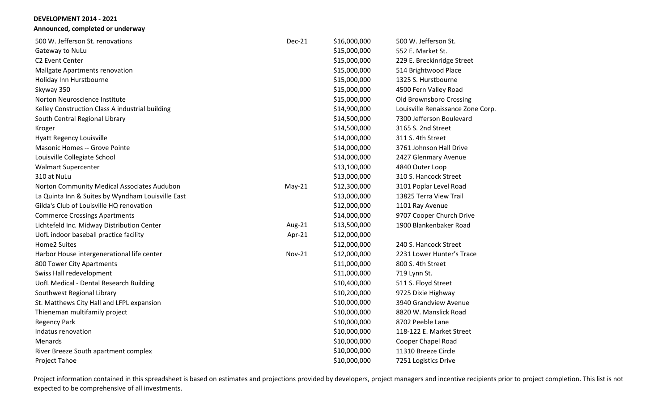**Announced, completed or underway**

| 500 W. Jefferson St. renovations                  | <b>Dec-21</b> | \$16,000,000 | 500 W. Jefferson St.              |
|---------------------------------------------------|---------------|--------------|-----------------------------------|
| Gateway to NuLu                                   |               | \$15,000,000 | 552 E. Market St.                 |
| C2 Event Center                                   |               | \$15,000,000 | 229 E. Breckinridge Street        |
| Mallgate Apartments renovation                    |               | \$15,000,000 | 514 Brightwood Place              |
| Holiday Inn Hurstbourne                           |               | \$15,000,000 | 1325 S. Hurstbourne               |
| Skyway 350                                        |               | \$15,000,000 | 4500 Fern Valley Road             |
| Norton Neuroscience Institute                     |               | \$15,000,000 | Old Brownsboro Crossing           |
| Kelley Construction Class A industrial building   |               | \$14,900,000 | Louisville Renaissance Zone Corp. |
| South Central Regional Library                    |               | \$14,500,000 | 7300 Jefferson Boulevard          |
| Kroger                                            |               | \$14,500,000 | 3165 S. 2nd Street                |
| Hyatt Regency Louisville                          |               | \$14,000,000 | 311 S. 4th Street                 |
| <b>Masonic Homes -- Grove Pointe</b>              |               | \$14,000,000 | 3761 Johnson Hall Drive           |
| Louisville Collegiate School                      |               | \$14,000,000 | 2427 Glenmary Avenue              |
| <b>Walmart Supercenter</b>                        |               | \$13,100,000 | 4840 Outer Loop                   |
| 310 at NuLu                                       |               | \$13,000,000 | 310 S. Hancock Street             |
| Norton Community Medical Associates Audubon       | $May-21$      | \$12,300,000 | 3101 Poplar Level Road            |
| La Quinta Inn & Suites by Wyndham Louisville East |               | \$13,000,000 | 13825 Terra View Trail            |
| Gilda's Club of Louisville HQ renovation          |               | \$12,000,000 | 1101 Ray Avenue                   |
| <b>Commerce Crossings Apartments</b>              |               | \$14,000,000 | 9707 Cooper Church Drive          |
| Lichtefeld Inc. Midway Distribution Center        | Aug-21        | \$13,500,000 | 1900 Blankenbaker Road            |
| UofL indoor baseball practice facility            | Apr-21        | \$12,000,000 |                                   |
| Home2 Suites                                      |               | \$12,000,000 | 240 S. Hancock Street             |
| Harbor House intergenerational life center        | <b>Nov-21</b> | \$12,000,000 | 2231 Lower Hunter's Trace         |
| 800 Tower City Apartments                         |               | \$11,000,000 | 800 S. 4th Street                 |
| Swiss Hall redevelopment                          |               | \$11,000,000 | 719 Lynn St.                      |
| UofL Medical - Dental Research Building           |               | \$10,400,000 | 511 S. Floyd Street               |
| Southwest Regional Library                        |               | \$10,200,000 | 9725 Dixie Highway                |
| St. Matthews City Hall and LFPL expansion         |               | \$10,000,000 | 3940 Grandview Avenue             |
| Thieneman multifamily project                     |               | \$10,000,000 | 8820 W. Manslick Road             |
| <b>Regency Park</b>                               |               | \$10,000,000 | 8702 Peeble Lane                  |
| Indatus renovation                                |               | \$10,000,000 | 118-122 E. Market Street          |
| Menards                                           |               | \$10,000,000 | Cooper Chapel Road                |
| River Breeze South apartment complex              |               | \$10,000,000 | 11310 Breeze Circle               |
| Project Tahoe                                     |               | \$10,000,000 | 7251 Logistics Drive              |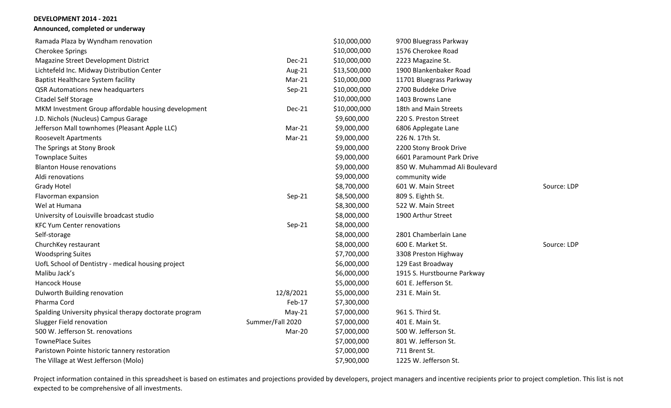# **Announced, completed or underway**

| Ramada Plaza by Wyndham renovation                     |                  | \$10,000,000 | 9700 Bluegrass Parkway        |             |
|--------------------------------------------------------|------------------|--------------|-------------------------------|-------------|
| <b>Cherokee Springs</b>                                |                  | \$10,000,000 | 1576 Cherokee Road            |             |
| Magazine Street Development District                   | $Dec-21$         | \$10,000,000 | 2223 Magazine St.             |             |
| Lichtefeld Inc. Midway Distribution Center             | Aug-21           | \$13,500,000 | 1900 Blankenbaker Road        |             |
| <b>Baptist Healthcare System facility</b>              | Mar-21           | \$10,000,000 | 11701 Bluegrass Parkway       |             |
| QSR Automations new headquarters                       | Sep-21           | \$10,000,000 | 2700 Buddeke Drive            |             |
| Citadel Self Storage                                   |                  | \$10,000,000 | 1403 Browns Lane              |             |
| MKM Investment Group affordable housing development    | <b>Dec-21</b>    | \$10,000,000 | 18th and Main Streets         |             |
| J.D. Nichols (Nucleus) Campus Garage                   |                  | \$9,600,000  | 220 S. Preston Street         |             |
| Jefferson Mall townhomes (Pleasant Apple LLC)          | Mar-21           | \$9,000,000  | 6806 Applegate Lane           |             |
| Roosevelt Apartments                                   | $Mar-21$         | \$9,000,000  | 226 N. 17th St.               |             |
| The Springs at Stony Brook                             |                  | \$9,000,000  | 2200 Stony Brook Drive        |             |
| <b>Townplace Suites</b>                                |                  | \$9,000,000  | 6601 Paramount Park Drive     |             |
| <b>Blanton House renovations</b>                       |                  | \$9,000,000  | 850 W. Muhammad Ali Boulevard |             |
| Aldi renovations                                       |                  | \$9,000,000  | community wide                |             |
| <b>Grady Hotel</b>                                     |                  | \$8,700,000  | 601 W. Main Street            | Source: LDP |
| Flavorman expansion                                    | Sep-21           | \$8,500,000  | 809 S. Eighth St.             |             |
| Wel at Humana                                          |                  | \$8,300,000  | 522 W. Main Street            |             |
| University of Louisville broadcast studio              |                  | \$8,000,000  | 1900 Arthur Street            |             |
| <b>KFC Yum Center renovations</b>                      | Sep-21           | \$8,000,000  |                               |             |
| Self-storage                                           |                  | \$8,000,000  | 2801 Chamberlain Lane         |             |
| ChurchKey restaurant                                   |                  | \$8,000,000  | 600 E. Market St.             | Source: LDP |
| <b>Woodspring Suites</b>                               |                  | \$7,700,000  | 3308 Preston Highway          |             |
| UofL School of Dentistry - medical housing project     |                  | \$6,000,000  | 129 East Broadway             |             |
| Malibu Jack's                                          |                  | \$6,000,000  | 1915 S. Hurstbourne Parkway   |             |
| Hancock House                                          |                  | \$5,000,000  | 601 E. Jefferson St.          |             |
| Dulworth Building renovation                           | 12/8/2021        | \$5,000,000  | 231 E. Main St.               |             |
| Pharma Cord                                            | Feb-17           | \$7,300,000  |                               |             |
| Spalding University physical therapy doctorate program | $May-21$         | \$7,000,000  | 961 S. Third St.              |             |
| <b>Slugger Field renovation</b>                        | Summer/Fall 2020 | \$7,000,000  | 401 E. Main St.               |             |
| 500 W. Jefferson St. renovations                       | Mar-20           | \$7,000,000  | 500 W. Jefferson St.          |             |
| <b>TownePlace Suites</b>                               |                  | \$7,000,000  | 801 W. Jefferson St.          |             |
| Paristown Pointe historic tannery restoration          |                  | \$7,000,000  | 711 Brent St.                 |             |
| The Village at West Jefferson (Molo)                   |                  | \$7,900,000  | 1225 W. Jefferson St.         |             |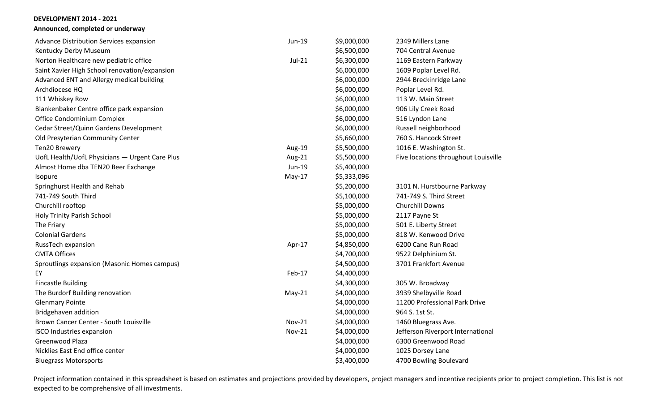**Announced, completed or underway**

| Advance Distribution Services expansion        | Jun-19        | \$9,000,000 | 2349 Millers Lane                    |
|------------------------------------------------|---------------|-------------|--------------------------------------|
| Kentucky Derby Museum                          |               | \$6,500,000 | 704 Central Avenue                   |
| Norton Healthcare new pediatric office         | Jul-21        | \$6,300,000 | 1169 Eastern Parkway                 |
| Saint Xavier High School renovation/expansion  |               | \$6,000,000 | 1609 Poplar Level Rd.                |
| Advanced ENT and Allergy medical building      |               | \$6,000,000 | 2944 Breckinridge Lane               |
| Archdiocese HQ                                 |               | \$6,000,000 | Poplar Level Rd.                     |
| 111 Whiskey Row                                |               | \$6,000,000 | 113 W. Main Street                   |
| Blankenbaker Centre office park expansion      |               | \$6,000,000 | 906 Lily Creek Road                  |
| Office Condominium Complex                     |               | \$6,000,000 | 516 Lyndon Lane                      |
| Cedar Street/Quinn Gardens Development         |               | \$6,000,000 | Russell neighborhood                 |
| Old Presyterian Community Center               |               | \$5,660,000 | 760 S. Hancock Street                |
| Ten20 Brewery                                  | Aug-19        | \$5,500,000 | 1016 E. Washington St.               |
| UofL Health/UofL Physicians - Urgent Care Plus | Aug-21        | \$5,500,000 | Five locations throughout Louisville |
| Almost Home dba TEN20 Beer Exchange            | Jun-19        | \$5,400,000 |                                      |
| Isopure                                        | $May-17$      | \$5,333,096 |                                      |
| Springhurst Health and Rehab                   |               | \$5,200,000 | 3101 N. Hurstbourne Parkway          |
| 741-749 South Third                            |               | \$5,100,000 | 741-749 S. Third Street              |
| Churchill rooftop                              |               | \$5,000,000 | Churchill Downs                      |
| Holy Trinity Parish School                     |               | \$5,000,000 | 2117 Payne St                        |
| The Friary                                     |               | \$5,000,000 | 501 E. Liberty Street                |
| <b>Colonial Gardens</b>                        |               | \$5,000,000 | 818 W. Kenwood Drive                 |
| RussTech expansion                             | Apr-17        | \$4,850,000 | 6200 Cane Run Road                   |
| <b>CMTA Offices</b>                            |               | \$4,700,000 | 9522 Delphinium St.                  |
| Sproutlings expansion (Masonic Homes campus)   |               | \$4,500,000 | 3701 Frankfort Avenue                |
| EY                                             | Feb-17        | \$4,400,000 |                                      |
| <b>Fincastle Building</b>                      |               | \$4,300,000 | 305 W. Broadway                      |
| The Burdorf Building renovation                | $May-21$      | \$4,000,000 | 3939 Shelbyville Road                |
| <b>Glenmary Pointe</b>                         |               | \$4,000,000 | 11200 Professional Park Drive        |
| Bridgehaven addition                           |               | \$4,000,000 | 964 S. 1st St.                       |
| Brown Cancer Center - South Louisville         | <b>Nov-21</b> | \$4,000,000 | 1460 Bluegrass Ave.                  |
| <b>ISCO Industries expansion</b>               | <b>Nov-21</b> | \$4,000,000 | Jefferson Riverport International    |
| Greenwood Plaza                                |               | \$4,000,000 | 6300 Greenwood Road                  |
| Nicklies East End office center                |               | \$4,000,000 | 1025 Dorsey Lane                     |
| <b>Bluegrass Motorsports</b>                   |               | \$3,400,000 | 4700 Bowling Boulevard               |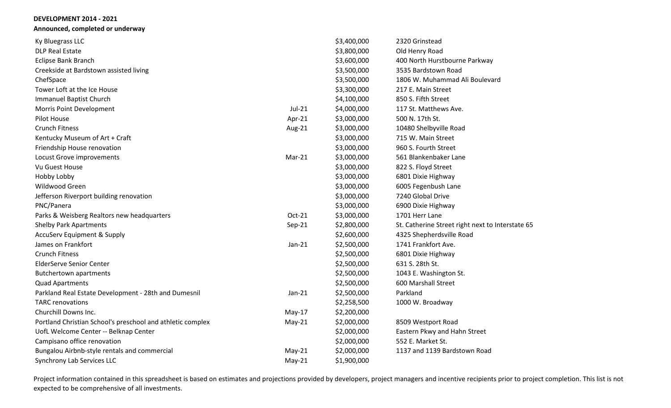**Announced, completed or underway**

| Ky Bluegrass LLC                                           |          | \$3,400,000 | 2320 Grinstead                                   |
|------------------------------------------------------------|----------|-------------|--------------------------------------------------|
| <b>DLP Real Estate</b>                                     |          | \$3,800,000 | Old Henry Road                                   |
| Eclipse Bank Branch                                        |          | \$3,600,000 | 400 North Hurstbourne Parkway                    |
| Creekside at Bardstown assisted living                     |          | \$3,500,000 | 3535 Bardstown Road                              |
| ChefSpace                                                  |          | \$3,500,000 | 1806 W. Muhammad Ali Boulevard                   |
| Tower Loft at the Ice House                                |          | \$3,300,000 | 217 E. Main Street                               |
| Immanuel Baptist Church                                    |          | \$4,100,000 | 850 S. Fifth Street                              |
| Morris Point Development                                   | Jul-21   | \$4,000,000 | 117 St. Matthews Ave.                            |
| <b>Pilot House</b>                                         | Apr-21   | \$3,000,000 | 500 N. 17th St.                                  |
| <b>Crunch Fitness</b>                                      | Aug-21   | \$3,000,000 | 10480 Shelbyville Road                           |
| Kentucky Museum of Art + Craft                             |          | \$3,000,000 | 715 W. Main Street                               |
| Friendship House renovation                                |          | \$3,000,000 | 960 S. Fourth Street                             |
| Locust Grove improvements                                  | $Mar-21$ | \$3,000,000 | 561 Blankenbaker Lane                            |
| Vu Guest House                                             |          | \$3,000,000 | 822 S. Floyd Street                              |
| Hobby Lobby                                                |          | \$3,000,000 | 6801 Dixie Highway                               |
| Wildwood Green                                             |          | \$3,000,000 | 6005 Fegenbush Lane                              |
| Jefferson Riverport building renovation                    |          | \$3,000,000 | 7240 Global Drive                                |
| PNC/Panera                                                 |          | \$3,000,000 | 6900 Dixie Highway                               |
| Parks & Weisberg Realtors new headquarters                 | Oct-21   | \$3,000,000 | 1701 Herr Lane                                   |
| <b>Shelby Park Apartments</b>                              | Sep-21   | \$2,800,000 | St. Catherine Street right next to Interstate 65 |
| <b>AccuServ Equipment &amp; Supply</b>                     |          | \$2,600,000 | 4325 Shepherdsville Road                         |
| James on Frankfort                                         | $Jan-21$ | \$2,500,000 | 1741 Frankfort Ave.                              |
| <b>Crunch Fitness</b>                                      |          | \$2,500,000 | 6801 Dixie Highway                               |
| <b>ElderServe Senior Center</b>                            |          | \$2,500,000 | 631 S. 28th St.                                  |
| <b>Butchertown apartments</b>                              |          | \$2,500,000 | 1043 E. Washington St.                           |
| <b>Quad Apartments</b>                                     |          | \$2,500,000 | 600 Marshall Street                              |
| Parkland Real Estate Development - 28th and Dumesnil       | $Jan-21$ | \$2,500,000 | Parkland                                         |
| <b>TARC</b> renovations                                    |          | \$2,258,500 | 1000 W. Broadway                                 |
| Churchill Downs Inc.                                       | May-17   | \$2,200,000 |                                                  |
| Portland Christian School's preschool and athletic complex | $May-21$ | \$2,000,000 | 8509 Westport Road                               |
| UofL Welcome Center -- Belknap Center                      |          | \$2,000,000 | Eastern Pkwy and Hahn Street                     |
| Campisano office renovation                                |          | \$2,000,000 | 552 E. Market St.                                |
| Bungalou Airbnb-style rentals and commercial               | $May-21$ | \$2,000,000 | 1137 and 1139 Bardstown Road                     |
| Synchrony Lab Services LLC                                 | $May-21$ | \$1,900,000 |                                                  |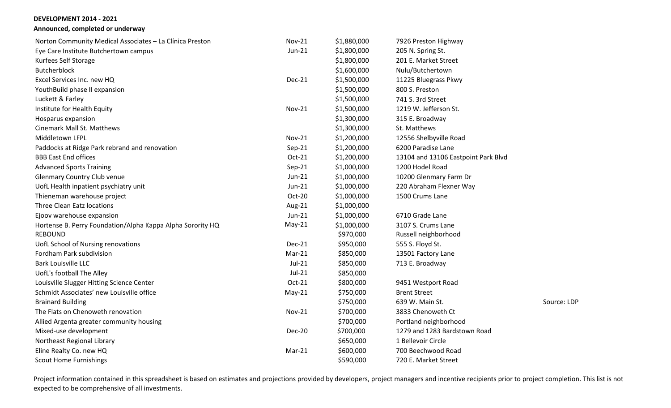# **Announced, completed or underway**

| Norton Community Medical Associates - La Clínica Preston   | <b>Nov-21</b> | \$1,880,000 | 7926 Preston Highway                |             |
|------------------------------------------------------------|---------------|-------------|-------------------------------------|-------------|
| Eye Care Institute Butchertown campus                      | Jun-21        | \$1,800,000 | 205 N. Spring St.                   |             |
| Kurfees Self Storage                                       |               | \$1,800,000 | 201 E. Market Street                |             |
| Butcherblock                                               |               | \$1,600,000 | Nulu/Butchertown                    |             |
| Excel Services Inc. new HQ                                 | <b>Dec-21</b> | \$1,500,000 | 11225 Bluegrass Pkwy                |             |
| YouthBuild phase II expansion                              |               | \$1,500,000 | 800 S. Preston                      |             |
| Luckett & Farley                                           |               | \$1,500,000 | 741 S. 3rd Street                   |             |
| Institute for Health Equity                                | <b>Nov-21</b> | \$1,500,000 | 1219 W. Jefferson St.               |             |
| Hosparus expansion                                         |               | \$1,300,000 | 315 E. Broadway                     |             |
| <b>Cinemark Mall St. Matthews</b>                          |               | \$1,300,000 | St. Matthews                        |             |
| Middletown LFPL                                            | <b>Nov-21</b> | \$1,200,000 | 12556 Shelbyville Road              |             |
| Paddocks at Ridge Park rebrand and renovation              | Sep-21        | \$1,200,000 | 6200 Paradise Lane                  |             |
| <b>BBB East End offices</b>                                | Oct-21        | \$1,200,000 | 13104 and 13106 Eastpoint Park Blvd |             |
| <b>Advanced Sports Training</b>                            | Sep-21        | \$1,000,000 | 1200 Hodel Road                     |             |
| <b>Glenmary Country Club venue</b>                         | Jun-21        | \$1,000,000 | 10200 Glenmary Farm Dr              |             |
| UofL Health inpatient psychiatry unit                      | Jun-21        | \$1,000,000 | 220 Abraham Flexner Way             |             |
| Thieneman warehouse project                                | Oct-20        | \$1,000,000 | 1500 Crums Lane                     |             |
| <b>Three Clean Eatz locations</b>                          | Aug-21        | \$1,000,000 |                                     |             |
| Ejoov warehouse expansion                                  | $Jun-21$      | \$1,000,000 | 6710 Grade Lane                     |             |
| Hortense B. Perry Foundation/Alpha Kappa Alpha Sorority HQ | $May-21$      | \$1,000,000 | 3107 S. Crums Lane                  |             |
| <b>REBOUND</b>                                             |               | \$970,000   | Russell neighborhood                |             |
| UofL School of Nursing renovations                         | Dec-21        | \$950,000   | 555 S. Floyd St.                    |             |
| Fordham Park subdivision                                   | $Mar-21$      | \$850,000   | 13501 Factory Lane                  |             |
| <b>Bark Louisville LLC</b>                                 | $Jul-21$      | \$850,000   | 713 E. Broadway                     |             |
| UofL's football The Alley                                  | Jul-21        | \$850,000   |                                     |             |
| Louisville Slugger Hitting Science Center                  | Oct-21        | \$800,000   | 9451 Westport Road                  |             |
| Schmidt Associates' new Louisville office                  | $May-21$      | \$750,000   | <b>Brent Street</b>                 |             |
| <b>Brainard Building</b>                                   |               | \$750,000   | 639 W. Main St.                     | Source: LDP |
| The Flats on Chenoweth renovation                          | <b>Nov-21</b> | \$700,000   | 3833 Chenoweth Ct                   |             |
| Allied Argenta greater community housing                   |               | \$700,000   | Portland neighborhood               |             |
| Mixed-use development                                      | Dec-20        | \$700,000   | 1279 and 1283 Bardstown Road        |             |
| Northeast Regional Library                                 |               | \$650,000   | 1 Bellevoir Circle                  |             |
| Eline Realty Co. new HQ                                    | Mar-21        | \$600,000   | 700 Beechwood Road                  |             |
| <b>Scout Home Furnishings</b>                              |               | \$590,000   | 720 E. Market Street                |             |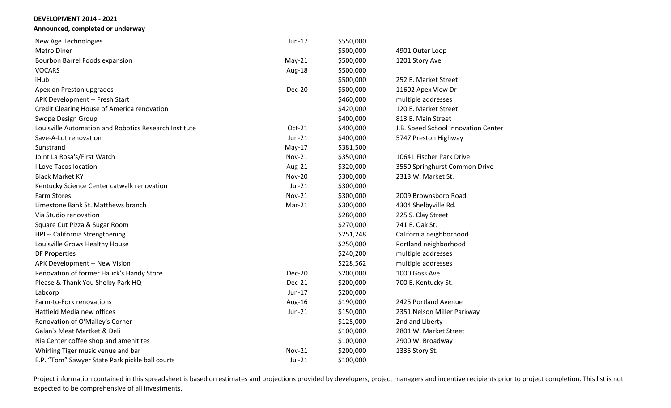**Announced, completed or underway**

| New Age Technologies                                  | Jun-17        | \$550,000 |                                     |
|-------------------------------------------------------|---------------|-----------|-------------------------------------|
| Metro Diner                                           |               | \$500,000 | 4901 Outer Loop                     |
| Bourbon Barrel Foods expansion                        | $May-21$      | \$500,000 | 1201 Story Ave                      |
| <b>VOCARS</b>                                         | Aug-18        | \$500,000 |                                     |
| iHub                                                  |               | \$500,000 | 252 E. Market Street                |
| Apex on Preston upgrades                              | <b>Dec-20</b> | \$500,000 | 11602 Apex View Dr                  |
| APK Development -- Fresh Start                        |               | \$460,000 | multiple addresses                  |
| Credit Clearing House of America renovation           |               | \$420,000 | 120 E. Market Street                |
| Swope Design Group                                    |               | \$400,000 | 813 E. Main Street                  |
| Louisville Automation and Robotics Research Institute | Oct-21        | \$400,000 | J.B. Speed School Innovation Center |
| Save-A-Lot renovation                                 | $Jun-21$      | \$400,000 | 5747 Preston Highway                |
| Sunstrand                                             | $May-17$      | \$381,500 |                                     |
| Joint La Rosa's/First Watch                           | <b>Nov-21</b> | \$350,000 | 10641 Fischer Park Drive            |
| I Love Tacos location                                 | Aug-21        | \$320,000 | 3550 Springhurst Common Drive       |
| <b>Black Market KY</b>                                | <b>Nov-20</b> | \$300,000 | 2313 W. Market St.                  |
| Kentucky Science Center catwalk renovation            | $Jul-21$      | \$300,000 |                                     |
| <b>Farm Stores</b>                                    | <b>Nov-21</b> | \$300,000 | 2009 Brownsboro Road                |
| Limestone Bank St. Matthews branch                    | $Mar-21$      | \$300,000 | 4304 Shelbyville Rd.                |
| Via Studio renovation                                 |               | \$280,000 | 225 S. Clay Street                  |
| Square Cut Pizza & Sugar Room                         |               | \$270,000 | 741 E. Oak St.                      |
| HPI -- California Strengthening                       |               | \$251,248 | California neighborhood             |
| Louisville Grows Healthy House                        |               | \$250,000 | Portland neighborhood               |
| <b>DF Properties</b>                                  |               | \$240,200 | multiple addresses                  |
| APK Development -- New Vision                         |               | \$228,562 | multiple addresses                  |
| Renovation of former Hauck's Handy Store              | <b>Dec-20</b> | \$200,000 | 1000 Goss Ave.                      |
| Please & Thank You Shelby Park HQ                     | <b>Dec-21</b> | \$200,000 | 700 E. Kentucky St.                 |
| Labcorp                                               | Jun-17        | \$200,000 |                                     |
| Farm-to-Fork renovations                              | Aug-16        | \$190,000 | 2425 Portland Avenue                |
| Hatfield Media new offices                            | Jun-21        | \$150,000 | 2351 Nelson Miller Parkway          |
| Renovation of O'Malley's Corner                       |               | \$125,000 | 2nd and Liberty                     |
| Galan's Meat Martket & Deli                           |               | \$100,000 | 2801 W. Market Street               |
| Nia Center coffee shop and amenitites                 |               | \$100,000 | 2900 W. Broadway                    |
| Whirling Tiger music venue and bar                    | <b>Nov-21</b> | \$200,000 | 1335 Story St.                      |
| E.P. "Tom" Sawyer State Park pickle ball courts       | $Jul-21$      | \$100,000 |                                     |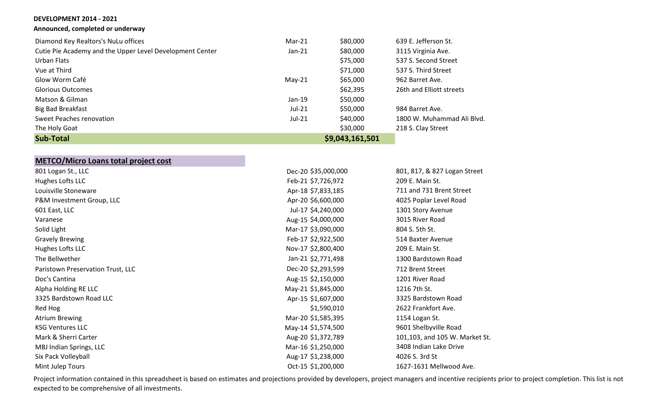**Announced, completed or underway**

|  | <b>UCVELUPIVIENI ZUI4 - ZUZI</b> |  |
|--|----------------------------------|--|
|  |                                  |  |

| Announced, completed or underwa |  |  |
|---------------------------------|--|--|
|---------------------------------|--|--|

|  |  | _ _ . _ _ _ | $\sim$ |  |  |  |  |  | ___ |  |
|--|--|-------------|--------|--|--|--|--|--|-----|--|
|  |  |             |        |  |  |  |  |  |     |  |
|  |  |             |        |  |  |  |  |  |     |  |

| Cutie Pie Academy and the Upp |  |  |
|-------------------------------|--|--|
|-------------------------------|--|--|

| Diamond Key Realtors's NuLu offices                      | $Mar-21$ | \$80,000 | 639 E. Jefferson St.       |
|----------------------------------------------------------|----------|----------|----------------------------|
| Cutie Pie Academy and the Upper Level Development Center | $Jan-21$ | \$80,000 | 3115 Virginia Ave.         |
| Urban Flats                                              |          | \$75,000 | 537 S. Second Street       |
| Vue at Third                                             |          | \$71,000 | 537 S. Third Street        |
| Glow Worm Café                                           | $May-21$ | \$65,000 | 962 Barret Ave.            |
| <b>Glorious Outcomes</b>                                 |          | \$62,395 | 26th and Elliott streets   |
| Matson & Gilman                                          | $Jan-19$ | \$50,000 |                            |
| <b>Big Bad Breakfast</b>                                 | $Jul-21$ | \$50,000 | 984 Barret Ave.            |
| Sweet Peaches renovation                                 | Jul-21   | \$40,000 | 1800 W. Muhammad Ali Blvd. |

The Holy Goat 218 S. Clay Street

|  | <b>Sub-Total</b> |
|--|------------------|
|--|------------------|

# **Sub-Total \$9,043,161,501**

Dec-20 \$35,000,000 801, 817, & 827 Logan Street

| <b>METCO/Micro Loans total project cost</b> |  |  |  |  |  |  |  |
|---------------------------------------------|--|--|--|--|--|--|--|
| 801 Logan St., LLC                          |  |  |  |  |  |  |  |
| Hughes Lofts LLC                            |  |  |  |  |  |  |  |
|                                             |  |  |  |  |  |  |  |

| Hughes Lofts LLC                  | Feb-21 \$7,726,972 | 209 E. Main St.                |
|-----------------------------------|--------------------|--------------------------------|
| Louisville Stoneware              | Apr-18 \$7,833,185 | 711 and 731 Brent Street       |
| P&M Investment Group, LLC         | Apr-20 \$6,600,000 | 4025 Poplar Level Road         |
| 601 East, LLC                     | Jul-17 \$4,240,000 | 1301 Story Avenue              |
| Varanese                          | Aug-15 \$4,000,000 | 3015 River Road                |
| Solid Light                       | Mar-17 \$3,090,000 | 804 S. 5th St.                 |
| <b>Gravely Brewing</b>            | Feb-17 \$2,922,500 | 514 Baxter Avenue              |
| Hughes Lofts LLC                  | Nov-17 \$2,800,400 | 209 E. Main St.                |
| The Bellwether                    | Jan-21 \$2,771,498 | 1300 Bardstown Road            |
| Paristown Preservation Trust, LLC | Dec-20 \$2,293,599 | 712 Brent Street               |
| Doc's Cantina                     | Aug-15 \$2,150,000 | 1201 River Road                |
| Alpha Holding RE LLC              | May-21 \$1,845,000 | 1216 7th St.                   |
| 3325 Bardstown Road LLC           | Apr-15 \$1,607,000 | 3325 Bardstown Road            |
| Red Hog                           | \$1,590,010        | 2622 Frankfort Ave.            |
| <b>Atrium Brewing</b>             | Mar-20 \$1,585,395 | 1154 Logan St.                 |
| <b>KSG Ventures LLC</b>           | May-14 \$1,574,500 | 9601 Shelbyville Road          |
| Mark & Sherri Carter              | Aug-20 \$1,372,789 | 101,103, and 105 W. Market St. |
| MBJ Indian Springs, LLC           | Mar-16 \$1,250,000 | 3408 Indian Lake Drive         |
| Six Pack Volleyball               | Aug-17 \$1,238,000 | 4026 S. 3rd St                 |
| Mint Julep Tours                  | Oct-15 \$1,200,000 | 1627-1631 Mellwood Ave.        |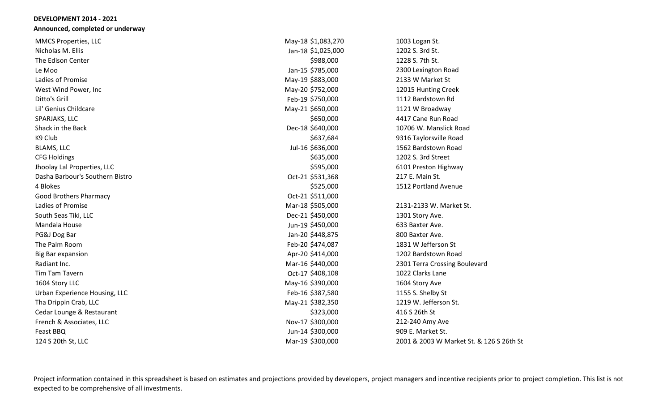#### **DEVELOPMENT 2014 - 2021 Announced, completed or underway**

| May-18 \$1,083,270 | 1003 Logan St.                           |
|--------------------|------------------------------------------|
| Jan-18 \$1,025,000 | 1202 S. 3rd St.                          |
| \$988,000          | 1228 S. 7th St.                          |
| Jan-15 \$785,000   | 2300 Lexington Road                      |
| May-19 \$883,000   | 2133 W Market St                         |
| May-20 \$752,000   | 12015 Hunting Creek                      |
| Feb-19 \$750,000   | 1112 Bardstown Rd                        |
| May-21 \$650,000   | 1121 W Broadway                          |
| \$650,000          | 4417 Cane Run Road                       |
| Dec-18 \$640,000   | 10706 W. Manslick Road                   |
| \$637,684          | 9316 Taylorsville Road                   |
| Jul-16 \$636,000   | 1562 Bardstown Road                      |
| \$635,000          | 1202 S. 3rd Street                       |
| \$595,000          | 6101 Preston Highway                     |
| Oct-21 \$531,368   | 217 E. Main St.                          |
| \$525,000          | 1512 Portland Avenue                     |
| Oct-21 \$511,000   |                                          |
| Mar-18 \$505,000   | 2131-2133 W. Market St.                  |
| Dec-21 \$450,000   | 1301 Story Ave.                          |
| Jun-19 \$450,000   | 633 Baxter Ave.                          |
| Jan-20 \$448,875   | 800 Baxter Ave.                          |
| Feb-20 \$474,087   | 1831 W Jefferson St                      |
| Apr-20 \$414,000   | 1202 Bardstown Road                      |
| Mar-16 \$440,000   | 2301 Terra Crossing Boulevard            |
| Oct-17 \$408,108   | 1022 Clarks Lane                         |
| May-16 \$390,000   | 1604 Story Ave                           |
| Feb-16 \$387,580   | 1155 S. Shelby St                        |
| May-21 \$382,350   | 1219 W. Jefferson St.                    |
| \$323,000          | 416 S 26th St                            |
| Nov-17 \$300,000   | 212-240 Amy Ave                          |
| Jun-14 \$300,000   | 909 E. Market St.                        |
| Mar-19 \$300,000   | 2001 & 2003 W Market St. & 126 S 26th St |
|                    |                                          |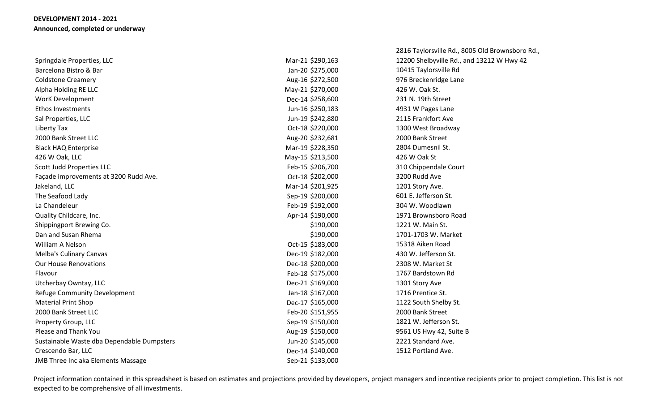|                                            |                  | 2816 Taylorsville Rd., 8005 Old Brownsboro Rd., |
|--------------------------------------------|------------------|-------------------------------------------------|
| Springdale Properties, LLC                 | Mar-21 \$290,163 | 12200 Shelbyville Rd., and 13212 W Hwy 42       |
| Barcelona Bistro & Bar                     | Jan-20 \$275,000 | 10415 Taylorsville Rd                           |
| <b>Coldstone Creamery</b>                  | Aug-16 \$272,500 | 976 Breckenridge Lane                           |
| Alpha Holding RE LLC                       | May-21 \$270,000 | 426 W. Oak St.                                  |
| <b>WorK Development</b>                    | Dec-14 \$258,600 | 231 N. 19th Street                              |
| <b>Ethos Investments</b>                   | Jun-16 \$250,183 | 4931 W Pages Lane                               |
| Sal Properties, LLC                        | Jun-19 \$242,880 | 2115 Frankfort Ave                              |
| Liberty Tax                                | Oct-18 \$220,000 | 1300 West Broadway                              |
| 2000 Bank Street LLC                       | Aug-20 \$232,681 | 2000 Bank Street                                |
| <b>Black HAQ Enterprise</b>                | Mar-19 \$228,350 | 2804 Dumesnil St.                               |
| 426 W Oak, LLC                             | May-15 \$213,500 | 426 W Oak St                                    |
| Scott Judd Properties LLC                  | Feb-15 \$206,700 | 310 Chippendale Court                           |
| Façade improvements at 3200 Rudd Ave.      | Oct-18 \$202,000 | 3200 Rudd Ave                                   |
| Jakeland, LLC                              | Mar-14 \$201,925 | 1201 Story Ave.                                 |
| The Seafood Lady                           | Sep-19 \$200,000 | 601 E. Jefferson St.                            |
| La Chandeleur                              | Feb-19 \$192,000 | 304 W. Woodlawn                                 |
| Quality Childcare, Inc.                    | Apr-14 \$190,000 | 1971 Brownsboro Road                            |
| Shippingport Brewing Co.                   | \$190,000        | 1221 W. Main St.                                |
| Dan and Susan Rhema                        | \$190,000        | 1701-1703 W. Market                             |
| William A Nelson                           | Oct-15 \$183,000 | 15318 Aiken Road                                |
| <b>Melba's Culinary Canvas</b>             | Dec-19 \$182,000 | 430 W. Jefferson St.                            |
| <b>Our House Renovations</b>               | Dec-18 \$200,000 | 2308 W. Market St                               |
| Flavour                                    | Feb-18 \$175,000 | 1767 Bardstown Rd                               |
| Utcherbay Owntay, LLC                      | Dec-21 \$169,000 | 1301 Story Ave                                  |
| Refuge Community Development               | Jan-18 \$167,000 | 1716 Prentice St.                               |
| <b>Material Print Shop</b>                 | Dec-17 \$165,000 | 1122 South Shelby St.                           |
| 2000 Bank Street LLC                       | Feb-20 \$151,955 | 2000 Bank Street                                |
| Property Group, LLC                        | Sep-19 \$150,000 | 1821 W. Jefferson St.                           |
| Please and Thank You                       | Aug-19 \$150,000 | 9561 US Hwy 42, Suite B                         |
| Sustainable Waste dba Dependable Dumpsters | Jun-20 \$145,000 | 2221 Standard Ave.                              |
| Crescendo Bar, LLC                         | Dec-14 \$140,000 | 1512 Portland Ave.                              |
| <b>JMB Three Inc aka Elements Massage</b>  | Sep-21 \$133,000 |                                                 |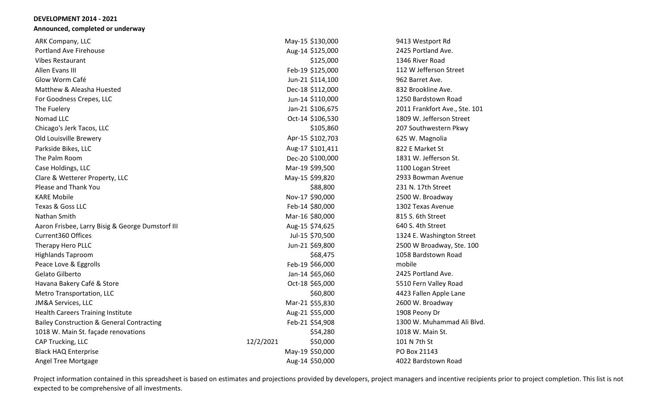#### **DEVELOPMENT 2014 - 2021 Announced, completed or underway**

| ARK Company, LLC                                     | May-15 \$130,000      | 9413 Westport Rd              |
|------------------------------------------------------|-----------------------|-------------------------------|
| <b>Portland Ave Firehouse</b>                        | Aug-14 \$125,000      | 2425 Portland Ave.            |
| <b>Vibes Restaurant</b>                              | \$125,000             | 1346 River Road               |
| Allen Evans III                                      | Feb-19 \$125,000      | 112 W Jefferson Street        |
| Glow Worm Café                                       | Jun-21 \$114,100      | 962 Barret Ave.               |
| Matthew & Aleasha Huested                            | Dec-18 \$112,000      | 832 Brookline Ave.            |
| For Goodness Crepes, LLC                             | Jun-14 \$110,000      | 1250 Bardstown Road           |
| The Fuelery                                          | Jan-21 \$106,675      | 2011 Frankfort Ave., Ste. 101 |
| Nomad LLC                                            | Oct-14 \$106,530      | 1809 W. Jefferson Street      |
| Chicago's Jerk Tacos, LLC                            | \$105,860             | 207 Southwestern Pkwy         |
| Old Louisville Brewery                               | Apr-15 \$102,703      | 625 W. Magnolia               |
| Parkside Bikes, LLC                                  | Aug-17 \$101,411      | 822 E Market St               |
| The Palm Room                                        | Dec-20 \$100,000      | 1831 W. Jefferson St.         |
| Case Holdings, LLC                                   | Mar-19 \$99,500       | 1100 Logan Street             |
| Clare & Wetterer Property, LLC                       | May-15 \$99,820       | 2933 Bowman Avenue            |
| Please and Thank You                                 | \$88,800              | 231 N. 17th Street            |
| <b>KARE Mobile</b>                                   | Nov-17 \$90,000       | 2500 W. Broadway              |
| Texas & Goss LLC                                     | Feb-14 \$80,000       | 1302 Texas Avenue             |
| Nathan Smith                                         | Mar-16 \$80,000       | 815 S. 6th Street             |
| Aaron Frisbee, Larry Bisig & George Dumstorf III     | Aug-15 \$74,625       | 640 S. 4th Street             |
| Current360 Offices                                   | Jul-15 \$70,500       | 1324 E. Washington Street     |
| Therapy Hero PLLC                                    | Jun-21 \$69,800       | 2500 W Broadway, Ste. 100     |
| <b>Highlands Taproom</b>                             | \$68,475              | 1058 Bardstown Road           |
| Peace Love & Eggrolls                                | Feb-19 \$66,000       | mobile                        |
| Gelato Gilberto                                      | Jan-14 \$65,060       | 2425 Portland Ave.            |
| Havana Bakery Café & Store                           | Oct-18 \$65,000       | 5510 Fern Valley Road         |
| Metro Transportation, LLC                            | \$60,800              | 4423 Fallen Apple Lane        |
| <b>JM&amp;A Services, LLC</b>                        | Mar-21 \$55,830       | 2600 W. Broadway              |
| <b>Health Careers Training Institute</b>             | Aug-21 \$55,000       | 1908 Peony Dr                 |
| <b>Bailey Construction &amp; General Contracting</b> | Feb-21 \$54,908       | 1300 W. Muhammad Ali Blvd.    |
| 1018 W. Main St. façade renovations                  | \$54,280              | 1018 W. Main St.              |
| CAP Trucking, LLC                                    | 12/2/2021<br>\$50,000 | 101 N 7th St                  |
| <b>Black HAQ Enterprise</b>                          | May-19 \$50,000       | PO Box 21143                  |
| Angel Tree Mortgage                                  | Aug-14 \$50,000       | 4022 Bardstown Road           |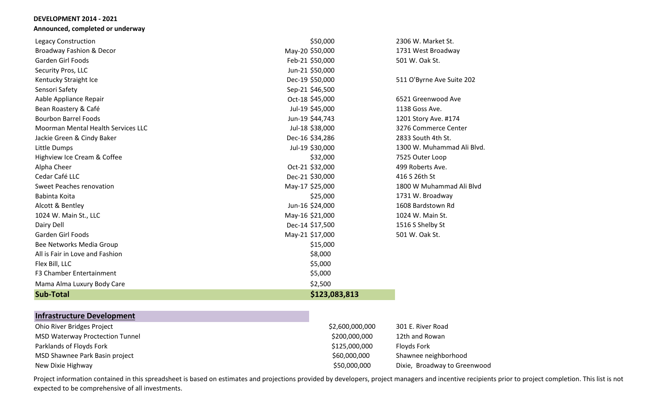#### **DEVELOPMENT 2014 - 2021 Announced, completed or underway**

| Legacy Construction                | \$50,000        | 2306 W. Market St.         |
|------------------------------------|-----------------|----------------------------|
| Broadway Fashion & Decor           | May-20 \$50,000 | 1731 West Broadway         |
| Garden Girl Foods                  | Feb-21 \$50,000 | 501 W. Oak St.             |
| Security Pros, LLC                 | Jun-21 \$50,000 |                            |
| Kentucky Straight Ice              | Dec-19 \$50,000 | 511 O'Byrne Ave Suite 202  |
| Sensori Safety                     | Sep-21 \$46,500 |                            |
| Aable Appliance Repair             | Oct-18 \$45,000 | 6521 Greenwood Ave         |
| Bean Roastery & Café               | Jul-19 \$45,000 | 1138 Goss Ave.             |
| <b>Bourbon Barrel Foods</b>        | Jun-19 \$44,743 | 1201 Story Ave. #174       |
| Moorman Mental Health Services LLC | Jul-18 \$38,000 | 3276 Commerce Center       |
| Jackie Green & Cindy Baker         | Dec-16 \$34,286 | 2833 South 4th St.         |
| Little Dumps                       | Jul-19 \$30,000 | 1300 W. Muhammad Ali Blvd. |
| Highview Ice Cream & Coffee        | \$32,000        | 7525 Outer Loop            |
| Alpha Cheer                        | Oct-21 \$32,000 | 499 Roberts Ave.           |
| Cedar Café LLC                     | Dec-21 \$30,000 | 416 S 26th St              |
| <b>Sweet Peaches renovation</b>    | May-17 \$25,000 | 1800 W Muhammad Ali Blyd   |
| Babinta Koita                      | \$25,000        | 1731 W. Broadway           |
| Alcott & Bentley                   | Jun-16 \$24,000 | 1608 Bardstown Rd          |
| 1024 W. Main St., LLC              | May-16 \$21,000 | 1024 W. Main St.           |
| Dairy Dell                         | Dec-14 \$17,500 | 1516 S Shelby St           |
| Garden Girl Foods                  | May-21 \$17,000 | 501 W. Oak St.             |
| Bee Networks Media Group           | \$15,000        |                            |
| All is Fair in Love and Fashion    | \$8,000         |                            |
| Flex Bill, LLC                     | \$5,000         |                            |
| F3 Chamber Entertainment           | \$5,000         |                            |
| Mama Alma Luxury Body Care         | \$2,500         |                            |
| <b>Sub-Total</b>                   | \$123,083,813   |                            |

# **Infrastructure Development**

| Ohio River Bridges Project             | \$2,600,000,000 | 301 E. River Road            |
|----------------------------------------|-----------------|------------------------------|
| <b>MSD Waterway Proctection Tunnel</b> | \$200,000,000   | 12th and Rowan               |
| Parklands of Floyds Fork               | \$125,000,000   | <b>Floyds Fork</b>           |
| MSD Shawnee Park Basin project         | \$60,000,000    | Shawnee neighborhood         |
| New Dixie Highway                      | \$50,000,000    | Dixie, Broadway to Greenwood |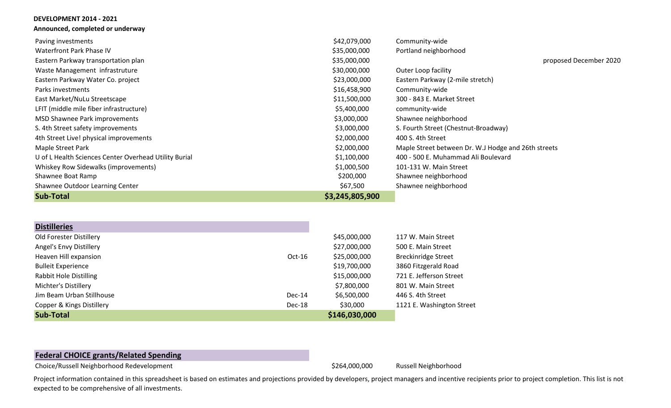| Announced, completed or underway                      |                 |                                                     |
|-------------------------------------------------------|-----------------|-----------------------------------------------------|
| Paving investments                                    | \$42,079,000    | Community-wide                                      |
| Waterfront Park Phase IV                              | \$35,000,000    | Portland neighborhood                               |
| Eastern Parkway transportation plan                   | \$35,000,000    | proposed December 2020                              |
| Waste Management infrastruture                        | \$30,000,000    | <b>Outer Loop facility</b>                          |
| Eastern Parkway Water Co. project                     | \$23,000,000    | Eastern Parkway (2-mile stretch)                    |
| Parks investments                                     | \$16,458,900    | Community-wide                                      |
| East Market/NuLu Streetscape                          | \$11,500,000    | 300 - 843 E. Market Street                          |
| LFIT (middle mile fiber infrastructure)               | \$5,400,000     | community-wide                                      |
| MSD Shawnee Park improvements                         | \$3,000,000     | Shawnee neighborhood                                |
| S. 4th Street safety improvements                     | \$3,000,000     | S. Fourth Street (Chestnut-Broadway)                |
| 4th Street Live! physical improvements                | \$2,000,000     | 400 S. 4th Street                                   |
| Maple Street Park                                     | \$2,000,000     | Maple Street between Dr. W.J Hodge and 26th streets |
| U of L Health Sciences Center Overhead Utility Burial | \$1,100,000     | 400 - 500 E. Muhammad Ali Boulevard                 |
| Whiskey Row Sidewalks (improvements)                  | \$1,000,500     | 101-131 W. Main Street                              |
| Shawnee Boat Ramp                                     | \$200,000       | Shawnee neighborhood                                |
| Shawnee Outdoor Learning Center                       | \$67,500        | Shawnee neighborhood                                |
| <b>Sub-Total</b>                                      | \$3,245,805,900 |                                                     |

| <b>Distilleries</b>       |          |               |                            |
|---------------------------|----------|---------------|----------------------------|
| Old Forester Distillery   |          | \$45,000,000  | 117 W. Main Street         |
| Angel's Envy Distillery   |          | \$27,000,000  | 500 E. Main Street         |
| Heaven Hill expansion     | $Oct-16$ | \$25,000,000  | <b>Breckinridge Street</b> |
| <b>Bulleit Experience</b> |          | \$19,700,000  | 3860 Fitzgerald Road       |
| Rabbit Hole Distilling    |          | \$15,000,000  | 721 E. Jefferson Street    |
| Michter's Distillery      |          | \$7,800,000   | 801 W. Main Street         |
| Jim Beam Urban Stillhouse | $Dec-14$ | \$6,500,000   | 446 S. 4th Street          |
| Copper & Kings Distillery | Dec-18   | \$30,000      | 1121 E. Washington Street  |
| <b>Sub-Total</b>          |          | \$146,030,000 |                            |

# **Federal CHOICE grants/Related Spending**

**DEVELOPMENT 2014 - 2021**

Choice/Russell Neighborhood Redevelopment **1990 and 1990 and 1990 and 1990 and 1990** \$264,000,000 Russell Neighborhood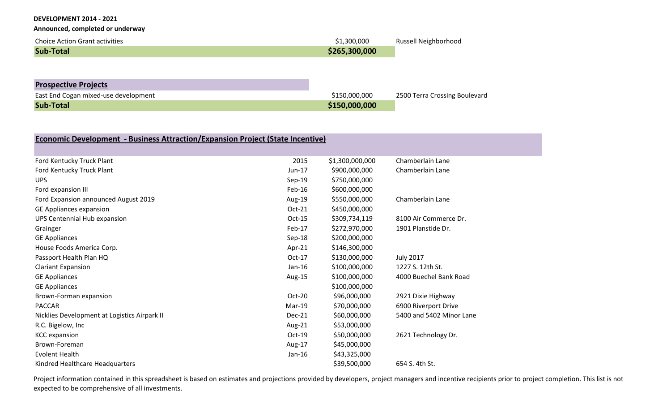**Announced, completed or underway**

| <b>Choice Action Grant activities</b> | \$1,300,000   | Russell Neighborhood |
|---------------------------------------|---------------|----------------------|
| <b>Sub-Total</b>                      | \$265,300,000 |                      |
|                                       |               |                      |

| <b>Prospective Projects</b>          |               |                               |
|--------------------------------------|---------------|-------------------------------|
| East End Cogan mixed-use development | \$150,000,000 | 2500 Terra Crossing Boulevard |
| <b>Sub-Total</b>                     | \$150,000,000 |                               |

| Economic Development - Business Attraction/Expansion Project (State Incentive) |          |                 |                          |  |
|--------------------------------------------------------------------------------|----------|-----------------|--------------------------|--|
|                                                                                |          |                 |                          |  |
| Ford Kentucky Truck Plant                                                      | 2015     | \$1,300,000,000 | Chamberlain Lane         |  |
| Ford Kentucky Truck Plant                                                      | Jun-17   | \$900,000,000   | Chamberlain Lane         |  |
| <b>UPS</b>                                                                     | Sep-19   | \$750,000,000   |                          |  |
| Ford expansion III                                                             | $Feb-16$ | \$600,000,000   |                          |  |
| Ford Expansion announced August 2019                                           | Aug-19   | \$550,000,000   | Chamberlain Lane         |  |
| GE Appliances expansion                                                        | Oct-21   | \$450,000,000   |                          |  |
| UPS Centennial Hub expansion                                                   | Oct-15   | \$309,734,119   | 8100 Air Commerce Dr.    |  |
| Grainger                                                                       | Feb-17   | \$272,970,000   | 1901 Planstide Dr.       |  |
| <b>GE Appliances</b>                                                           | Sep-18   | \$200,000,000   |                          |  |
| House Foods America Corp.                                                      | Apr-21   | \$146,300,000   |                          |  |
| Passport Health Plan HQ                                                        | Oct-17   | \$130,000,000   | <b>July 2017</b>         |  |
| <b>Clariant Expansion</b>                                                      | Jan-16   | \$100,000,000   | 1227 S. 12th St.         |  |
| <b>GE Appliances</b>                                                           | Aug-15   | \$100,000,000   | 4000 Buechel Bank Road   |  |
| <b>GE Appliances</b>                                                           |          | \$100,000,000   |                          |  |
| Brown-Forman expansion                                                         | Oct-20   | \$96,000,000    | 2921 Dixie Highway       |  |
| <b>PACCAR</b>                                                                  | $Mar-19$ | \$70,000,000    | 6900 Riverport Drive     |  |
| Nicklies Development at Logistics Airpark II                                   | Dec-21   | \$60,000,000    | 5400 and 5402 Minor Lane |  |
| R.C. Bigelow, Inc.                                                             | Aug-21   | \$53,000,000    |                          |  |
| <b>KCC</b> expansion                                                           | $Oct-19$ | \$50,000,000    | 2621 Technology Dr.      |  |
| Brown-Foreman                                                                  | Aug-17   | \$45,000,000    |                          |  |
| <b>Evolent Health</b>                                                          | Jan-16   | \$43,325,000    |                          |  |
| Kindred Healthcare Headquarters                                                |          | \$39,500,000    | 654 S. 4th St.           |  |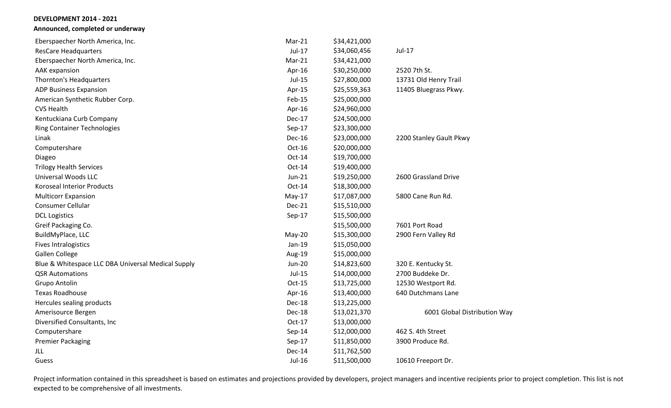**Announced, completed or underway**

| Eberspaecher North America, Inc.                   | Mar-21        | \$34,421,000 |                              |
|----------------------------------------------------|---------------|--------------|------------------------------|
| <b>ResCare Headquarters</b>                        | Jul-17        | \$34,060,456 | Jul-17                       |
| Eberspaecher North America, Inc.                   | $Mar-21$      | \$34,421,000 |                              |
| AAK expansion                                      | Apr-16        | \$30,250,000 | 2520 7th St.                 |
| Thornton's Headquarters                            | Jul-15        | \$27,800,000 | 13731 Old Henry Trail        |
| <b>ADP Business Expansion</b>                      | Apr-15        | \$25,559,363 | 11405 Bluegrass Pkwy.        |
| American Synthetic Rubber Corp.                    | Feb-15        | \$25,000,000 |                              |
| <b>CVS Health</b>                                  | Apr-16        | \$24,960,000 |                              |
| Kentuckiana Curb Company                           | <b>Dec-17</b> | \$24,500,000 |                              |
| <b>Ring Container Technologies</b>                 | Sep-17        | \$23,300,000 |                              |
| Linak                                              | <b>Dec-16</b> | \$23,000,000 | 2200 Stanley Gault Pkwy      |
| Computershare                                      | Oct-16        | \$20,000,000 |                              |
| Diageo                                             | Oct-14        | \$19,700,000 |                              |
| <b>Trilogy Health Services</b>                     | Oct-14        | \$19,400,000 |                              |
| <b>Universal Woods LLC</b>                         | Jun-21        | \$19,250,000 | 2600 Grassland Drive         |
| <b>Koroseal Interior Products</b>                  | Oct-14        | \$18,300,000 |                              |
| <b>Multicorr Expansion</b>                         | $May-17$      | \$17,087,000 | 5800 Cane Run Rd.            |
| Consumer Cellular                                  | <b>Dec-21</b> | \$15,510,000 |                              |
| <b>DCL Logistics</b>                               | $Sep-17$      | \$15,500,000 |                              |
| Greif Packaging Co.                                |               | \$15,500,000 | 7601 Port Road               |
| BuildMyPlace, LLC                                  | May-20        | \$15,300,000 | 2900 Fern Valley Rd          |
| <b>Fives Intralogistics</b>                        | Jan-19        | \$15,050,000 |                              |
| <b>Gallen College</b>                              | Aug-19        | \$15,000,000 |                              |
| Blue & Whitespace LLC DBA Universal Medical Supply | <b>Jun-20</b> | \$14,823,600 | 320 E. Kentucky St.          |
| <b>QSR Automations</b>                             | Jul-15        | \$14,000,000 | 2700 Buddeke Dr.             |
| <b>Grupo Antolin</b>                               | $Oct-15$      | \$13,725,000 | 12530 Westport Rd.           |
| <b>Texas Roadhouse</b>                             | Apr-16        | \$13,400,000 | 640 Dutchmans Lane           |
| Hercules sealing products                          | Dec-18        | \$13,225,000 |                              |
| Amerisource Bergen                                 | Dec-18        | \$13,021,370 | 6001 Global Distribution Way |
| Diversified Consultants, Inc                       | Oct-17        | \$13,000,000 |                              |
| Computershare                                      | Sep-14        | \$12,000,000 | 462 S. 4th Street            |
| Premier Packaging                                  | $Sep-17$      | \$11,850,000 | 3900 Produce Rd.             |
| <b>JLL</b>                                         | <b>Dec-14</b> | \$11,762,500 |                              |
| Guess                                              | Jul-16        | \$11,500,000 | 10610 Freeport Dr.           |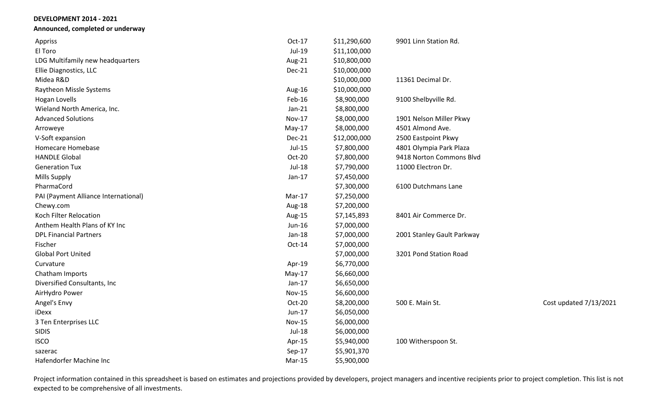**Announced, completed or underway**

| Appriss                              | Oct-17        | \$11,290,600 | 9901 Linn Station Rd.      |                        |
|--------------------------------------|---------------|--------------|----------------------------|------------------------|
| El Toro                              | Jul-19        | \$11,100,000 |                            |                        |
| LDG Multifamily new headquarters     | Aug-21        | \$10,800,000 |                            |                        |
| Ellie Diagnostics, LLC               | Dec-21        | \$10,000,000 |                            |                        |
| Midea R&D                            |               | \$10,000,000 | 11361 Decimal Dr.          |                        |
| Raytheon Missle Systems              | Aug-16        | \$10,000,000 |                            |                        |
| <b>Hogan Lovells</b>                 | Feb-16        | \$8,900,000  | 9100 Shelbyville Rd.       |                        |
| Wieland North America, Inc.          | $Jan-21$      | \$8,800,000  |                            |                        |
| <b>Advanced Solutions</b>            | <b>Nov-17</b> | \$8,000,000  | 1901 Nelson Miller Pkwy    |                        |
| Arroweye                             | $May-17$      | \$8,000,000  | 4501 Almond Ave.           |                        |
| V-Soft expansion                     | Dec-21        | \$12,000,000 | 2500 Eastpoint Pkwy        |                        |
| Homecare Homebase                    | Jul-15        | \$7,800,000  | 4801 Olympia Park Plaza    |                        |
| <b>HANDLE Global</b>                 | Oct-20        | \$7,800,000  | 9418 Norton Commons Blvd   |                        |
| <b>Generation Tux</b>                | <b>Jul-18</b> | \$7,790,000  | 11000 Electron Dr.         |                        |
| <b>Mills Supply</b>                  | $Jan-17$      | \$7,450,000  |                            |                        |
| PharmaCord                           |               | \$7,300,000  | 6100 Dutchmans Lane        |                        |
| PAI (Payment Alliance International) | Mar-17        | \$7,250,000  |                            |                        |
| Chewy.com                            | Aug-18        | \$7,200,000  |                            |                        |
| Koch Filter Relocation               | Aug-15        | \$7,145,893  | 8401 Air Commerce Dr.      |                        |
| Anthem Health Plans of KY Inc        | Jun-16        | \$7,000,000  |                            |                        |
| <b>DPL Financial Partners</b>        | Jan-18        | \$7,000,000  | 2001 Stanley Gault Parkway |                        |
| Fischer                              | Oct-14        | \$7,000,000  |                            |                        |
| <b>Global Port United</b>            |               | \$7,000,000  | 3201 Pond Station Road     |                        |
| Curvature                            | Apr-19        | \$6,770,000  |                            |                        |
| Chatham Imports                      | $May-17$      | \$6,660,000  |                            |                        |
| Diversified Consultants, Inc         | $Jan-17$      | \$6,650,000  |                            |                        |
| AirHydro Power                       | <b>Nov-15</b> | \$6,600,000  |                            |                        |
| Angel's Envy                         | Oct-20        | \$8,200,000  | 500 E. Main St.            | Cost updated 7/13/2021 |
| iDexx                                | Jun-17        | \$6,050,000  |                            |                        |
| 3 Ten Enterprises LLC                | <b>Nov-15</b> | \$6,000,000  |                            |                        |
| <b>SIDIS</b>                         | Jul-18        | \$6,000,000  |                            |                        |
| <b>ISCO</b>                          | Apr-15        | \$5,940,000  | 100 Witherspoon St.        |                        |
| sazerac                              | Sep-17        | \$5,901,370  |                            |                        |
| Hafendorfer Machine Inc              | $Mar-15$      | \$5,900,000  |                            |                        |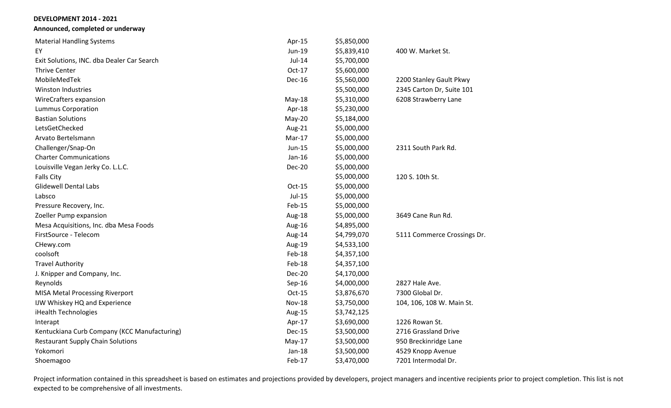**Announced, completed or underway**

| <b>Material Handling Systems</b>             | Apr-15        | \$5,850,000 |                             |
|----------------------------------------------|---------------|-------------|-----------------------------|
| EY                                           | Jun-19        | \$5,839,410 | 400 W. Market St.           |
| Exit Solutions, INC. dba Dealer Car Search   | $Jul-14$      | \$5,700,000 |                             |
| <b>Thrive Center</b>                         | $Oct-17$      | \$5,600,000 |                             |
| MobileMedTek                                 | <b>Dec-16</b> | \$5,560,000 | 2200 Stanley Gault Pkwy     |
| <b>Winston Industries</b>                    |               | \$5,500,000 | 2345 Carton Dr, Suite 101   |
| WireCrafters expansion                       | $May-18$      | \$5,310,000 | 6208 Strawberry Lane        |
| <b>Lummus Corporation</b>                    | Apr-18        | \$5,230,000 |                             |
| <b>Bastian Solutions</b>                     | May-20        | \$5,184,000 |                             |
| LetsGetChecked                               | Aug-21        | \$5,000,000 |                             |
| Arvato Bertelsmann                           | Mar-17        | \$5,000,000 |                             |
| Challenger/Snap-On                           | Jun-15        | \$5,000,000 | 2311 South Park Rd.         |
| <b>Charter Communications</b>                | $Jan-16$      | \$5,000,000 |                             |
| Louisville Vegan Jerky Co. L.L.C.            | <b>Dec-20</b> | \$5,000,000 |                             |
| <b>Falls City</b>                            |               | \$5,000,000 | 120 S. 10th St.             |
| <b>Glidewell Dental Labs</b>                 | $Oct-15$      | \$5,000,000 |                             |
| Labsco                                       | $Jul-15$      | \$5,000,000 |                             |
| Pressure Recovery, Inc.                      | Feb-15        | \$5,000,000 |                             |
| Zoeller Pump expansion                       | Aug-18        | \$5,000,000 | 3649 Cane Run Rd.           |
| Mesa Acquisitions, Inc. dba Mesa Foods       | Aug-16        | \$4,895,000 |                             |
| FirstSource - Telecom                        | Aug-14        | \$4,799,070 | 5111 Commerce Crossings Dr. |
| CHewy.com                                    | Aug-19        | \$4,533,100 |                             |
| coolsoft                                     | Feb-18        | \$4,357,100 |                             |
| <b>Travel Authority</b>                      | Feb-18        | \$4,357,100 |                             |
| J. Knipper and Company, Inc.                 | <b>Dec-20</b> | \$4,170,000 |                             |
| Reynolds                                     | Sep-16        | \$4,000,000 | 2827 Hale Ave.              |
| <b>MISA Metal Processing Riverport</b>       | $Oct-15$      | \$3,876,670 | 7300 Global Dr.             |
| IJW Whiskey HQ and Experience                | <b>Nov-18</b> | \$3,750,000 | 104, 106, 108 W. Main St.   |
| iHealth Technologies                         | Aug-15        | \$3,742,125 |                             |
| Interapt                                     | Apr-17        | \$3,690,000 | 1226 Rowan St.              |
| Kentuckiana Curb Company (KCC Manufacturing) | Dec-15        | \$3,500,000 | 2716 Grassland Drive        |
| <b>Restaurant Supply Chain Solutions</b>     | $May-17$      | \$3,500,000 | 950 Breckinridge Lane       |
| Yokomori                                     | $Jan-18$      | \$3,500,000 | 4529 Knopp Avenue           |
| Shoemagoo                                    | Feb-17        | \$3,470,000 | 7201 Intermodal Dr.         |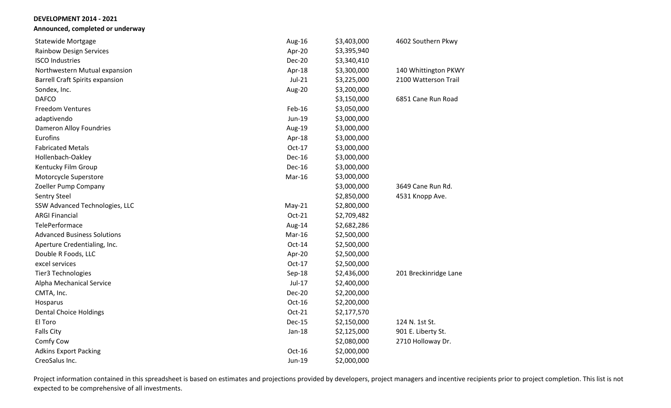**Announced, completed or underway**

| <b>Statewide Mortgage</b>              | Aug-16        | \$3,403,000 | 4602 Southern Pkwy    |
|----------------------------------------|---------------|-------------|-----------------------|
| <b>Rainbow Design Services</b>         | Apr-20        | \$3,395,940 |                       |
| <b>ISCO Industries</b>                 | <b>Dec-20</b> | \$3,340,410 |                       |
| Northwestern Mutual expansion          | Apr-18        | \$3,300,000 | 140 Whittington PKWY  |
| <b>Barrell Craft Spirits expansion</b> | Jul-21        | \$3,225,000 | 2100 Watterson Trail  |
| Sondex, Inc.                           | Aug-20        | \$3,200,000 |                       |
| <b>DAFCO</b>                           |               | \$3,150,000 | 6851 Cane Run Road    |
| <b>Freedom Ventures</b>                | Feb-16        | \$3,050,000 |                       |
| adaptivendo                            | Jun-19        | \$3,000,000 |                       |
| Dameron Alloy Foundries                | Aug-19        | \$3,000,000 |                       |
| Eurofins                               | Apr-18        | \$3,000,000 |                       |
| <b>Fabricated Metals</b>               | Oct-17        | \$3,000,000 |                       |
| Hollenbach-Oakley                      | <b>Dec-16</b> | \$3,000,000 |                       |
| Kentucky Film Group                    | Dec-16        | \$3,000,000 |                       |
| Motorcycle Superstore                  | Mar-16        | \$3,000,000 |                       |
| Zoeller Pump Company                   |               | \$3,000,000 | 3649 Cane Run Rd.     |
| <b>Sentry Steel</b>                    |               | \$2,850,000 | 4531 Knopp Ave.       |
| SSW Advanced Technologies, LLC         | $May-21$      | \$2,800,000 |                       |
| <b>ARGI Financial</b>                  | Oct-21        | \$2,709,482 |                       |
| TelePerformace                         | Aug-14        | \$2,682,286 |                       |
| <b>Advanced Business Solutions</b>     | Mar-16        | \$2,500,000 |                       |
| Aperture Credentialing, Inc.           | Oct-14        | \$2,500,000 |                       |
| Double R Foods, LLC                    | Apr-20        | \$2,500,000 |                       |
| excel services                         | Oct-17        | \$2,500,000 |                       |
| Tier3 Technologies                     | Sep-18        | \$2,436,000 | 201 Breckinridge Lane |
| Alpha Mechanical Service               | Jul-17        | \$2,400,000 |                       |
| CMTA, Inc.                             | <b>Dec-20</b> | \$2,200,000 |                       |
| Hosparus                               | Oct-16        | \$2,200,000 |                       |
| <b>Dental Choice Holdings</b>          | Oct-21        | \$2,177,570 |                       |
| El Toro                                | <b>Dec-15</b> | \$2,150,000 | 124 N. 1st St.        |
| <b>Falls City</b>                      | Jan-18        | \$2,125,000 | 901 E. Liberty St.    |
| Comfy Cow                              |               | \$2,080,000 | 2710 Holloway Dr.     |
| <b>Adkins Export Packing</b>           | $Oct-16$      | \$2,000,000 |                       |
| CreoSalus Inc.                         | $Jun-19$      | \$2,000,000 |                       |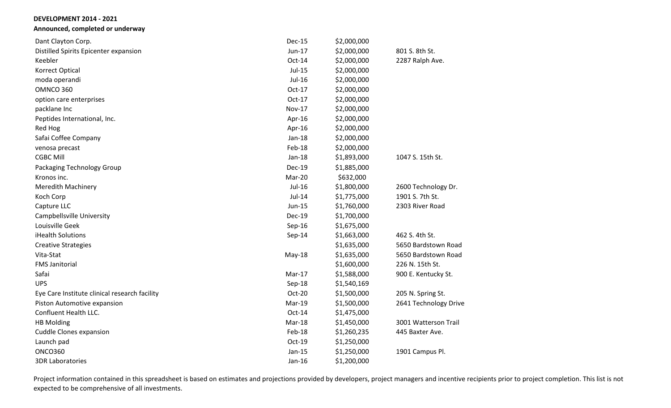**Announced, completed or underway**

| Dant Clayton Corp.                            | <b>Dec-15</b> | \$2,000,000 |                       |
|-----------------------------------------------|---------------|-------------|-----------------------|
| Distilled Spirits Epicenter expansion         | Jun-17        | \$2,000,000 | 801 S. 8th St.        |
| Keebler                                       | $Oct-14$      | \$2,000,000 | 2287 Ralph Ave.       |
| Korrect Optical                               | Jul-15        | \$2,000,000 |                       |
| moda operandi                                 | Jul-16        | \$2,000,000 |                       |
| OMNCO 360                                     | $Oct-17$      | \$2,000,000 |                       |
| option care enterprises                       | $Oct-17$      | \$2,000,000 |                       |
| packlane Inc                                  | <b>Nov-17</b> | \$2,000,000 |                       |
| Peptides International, Inc.                  | Apr-16        | \$2,000,000 |                       |
| Red Hog                                       | Apr-16        | \$2,000,000 |                       |
| Safai Coffee Company                          | $Jan-18$      | \$2,000,000 |                       |
| venosa precast                                | Feb-18        | \$2,000,000 |                       |
| <b>CGBC Mill</b>                              | Jan-18        | \$1,893,000 | 1047 S. 15th St.      |
| Packaging Technology Group                    | <b>Dec-19</b> | \$1,885,000 |                       |
| Kronos inc.                                   | Mar-20        | \$632,000   |                       |
| <b>Meredith Machinery</b>                     | Jul-16        | \$1,800,000 | 2600 Technology Dr.   |
| Koch Corp                                     | Jul-14        | \$1,775,000 | 1901 S. 7th St.       |
| Capture LLC                                   | Jun-15        | \$1,760,000 | 2303 River Road       |
| Campbellsville University                     | <b>Dec-19</b> | \$1,700,000 |                       |
| Louisville Geek                               | Sep-16        | \$1,675,000 |                       |
| iHealth Solutions                             | Sep-14        | \$1,663,000 | 462 S. 4th St.        |
| <b>Creative Strategies</b>                    |               | \$1,635,000 | 5650 Bardstown Road   |
| Vita-Stat                                     | $May-18$      | \$1,635,000 | 5650 Bardstown Road   |
| <b>FMS Janitorial</b>                         |               | \$1,600,000 | 226 N. 15th St.       |
| Safai                                         | $Mar-17$      | \$1,588,000 | 900 E. Kentucky St.   |
| <b>UPS</b>                                    | Sep-18        | \$1,540,169 |                       |
| Eye Care Institute clinical research facility | Oct-20        | \$1,500,000 | 205 N. Spring St.     |
| Piston Automotive expansion                   | Mar-19        | \$1,500,000 | 2641 Technology Drive |
| Confluent Health LLC.                         | $Oct-14$      | \$1,475,000 |                       |
| <b>HB Molding</b>                             | Mar-18        | \$1,450,000 | 3001 Watterson Trail  |
| <b>Cuddle Clones expansion</b>                | Feb-18        | \$1,260,235 | 445 Baxter Ave.       |
| Launch pad                                    | Oct-19        | \$1,250,000 |                       |
| <b>ONCO360</b>                                | $Jan-15$      | \$1,250,000 | 1901 Campus Pl.       |
| <b>3DR Laboratories</b>                       | Jan-16        | \$1,200,000 |                       |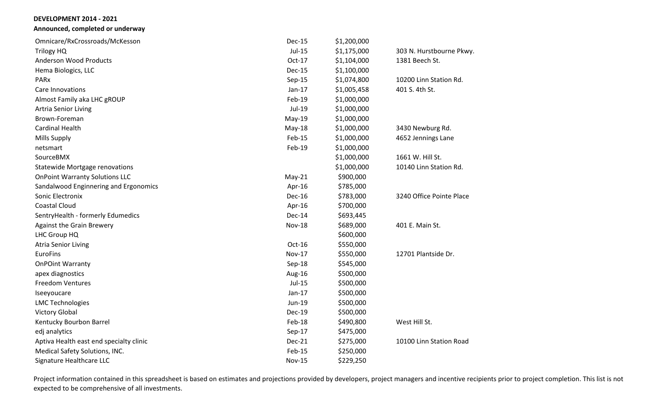**Announced, completed or underway**

| Omnicare/RxCrossroads/McKesson          | Dec-15        | \$1,200,000 |                          |
|-----------------------------------------|---------------|-------------|--------------------------|
| Trilogy HQ                              | Jul-15        | \$1,175,000 | 303 N. Hurstbourne Pkwy. |
| <b>Anderson Wood Products</b>           | Oct-17        | \$1,104,000 | 1381 Beech St.           |
| Hema Biologics, LLC                     | <b>Dec-15</b> | \$1,100,000 |                          |
| <b>PARx</b>                             | Sep-15        | \$1,074,800 | 10200 Linn Station Rd.   |
| Care Innovations                        | $Jan-17$      | \$1,005,458 | 401 S. 4th St.           |
| Almost Family aka LHC gROUP             | Feb-19        | \$1,000,000 |                          |
| <b>Artria Senior Living</b>             | Jul-19        | \$1,000,000 |                          |
| Brown-Foreman                           | $May-19$      | \$1,000,000 |                          |
| <b>Cardinal Health</b>                  | $May-18$      | \$1,000,000 | 3430 Newburg Rd.         |
| <b>Mills Supply</b>                     | Feb-15        | \$1,000,000 | 4652 Jennings Lane       |
| netsmart                                | Feb-19        | \$1,000,000 |                          |
| SourceBMX                               |               | \$1,000,000 | 1661 W. Hill St.         |
| <b>Statewide Mortgage renovations</b>   |               | \$1,000,000 | 10140 Linn Station Rd.   |
| <b>OnPoint Warranty Solutions LLC</b>   | $May-21$      | \$900,000   |                          |
| Sandalwood Enginnering and Ergonomics   | Apr-16        | \$785,000   |                          |
| Sonic Electronix                        | <b>Dec-16</b> | \$783,000   | 3240 Office Pointe Place |
| <b>Coastal Cloud</b>                    | Apr-16        | \$700,000   |                          |
| SentryHealth - formerly Edumedics       | Dec-14        | \$693,445   |                          |
| <b>Against the Grain Brewery</b>        | <b>Nov-18</b> | \$689,000   | 401 E. Main St.          |
| LHC Group HQ                            |               | \$600,000   |                          |
| <b>Atria Senior Living</b>              | Oct-16        | \$550,000   |                          |
| <b>EuroFins</b>                         | <b>Nov-17</b> | \$550,000   | 12701 Plantside Dr.      |
| <b>OnPOint Warranty</b>                 | Sep-18        | \$545,000   |                          |
| apex diagnostics                        | Aug-16        | \$500,000   |                          |
| <b>Freedom Ventures</b>                 | <b>Jul-15</b> | \$500,000   |                          |
| Iseeyoucare                             | $Jan-17$      | \$500,000   |                          |
| <b>LMC Technologies</b>                 | Jun-19        | \$500,000   |                          |
| <b>Victory Global</b>                   | Dec-19        | \$500,000   |                          |
| Kentucky Bourbon Barrel                 | Feb-18        | \$490,800   | West Hill St.            |
| edj analytics                           | Sep-17        | \$475,000   |                          |
| Aptiva Health east end specialty clinic | <b>Dec-21</b> | \$275,000   | 10100 Linn Station Road  |
| Medical Safety Solutions, INC.          | Feb-15        | \$250,000   |                          |
| Signature Healthcare LLC                | <b>Nov-15</b> | \$229,250   |                          |